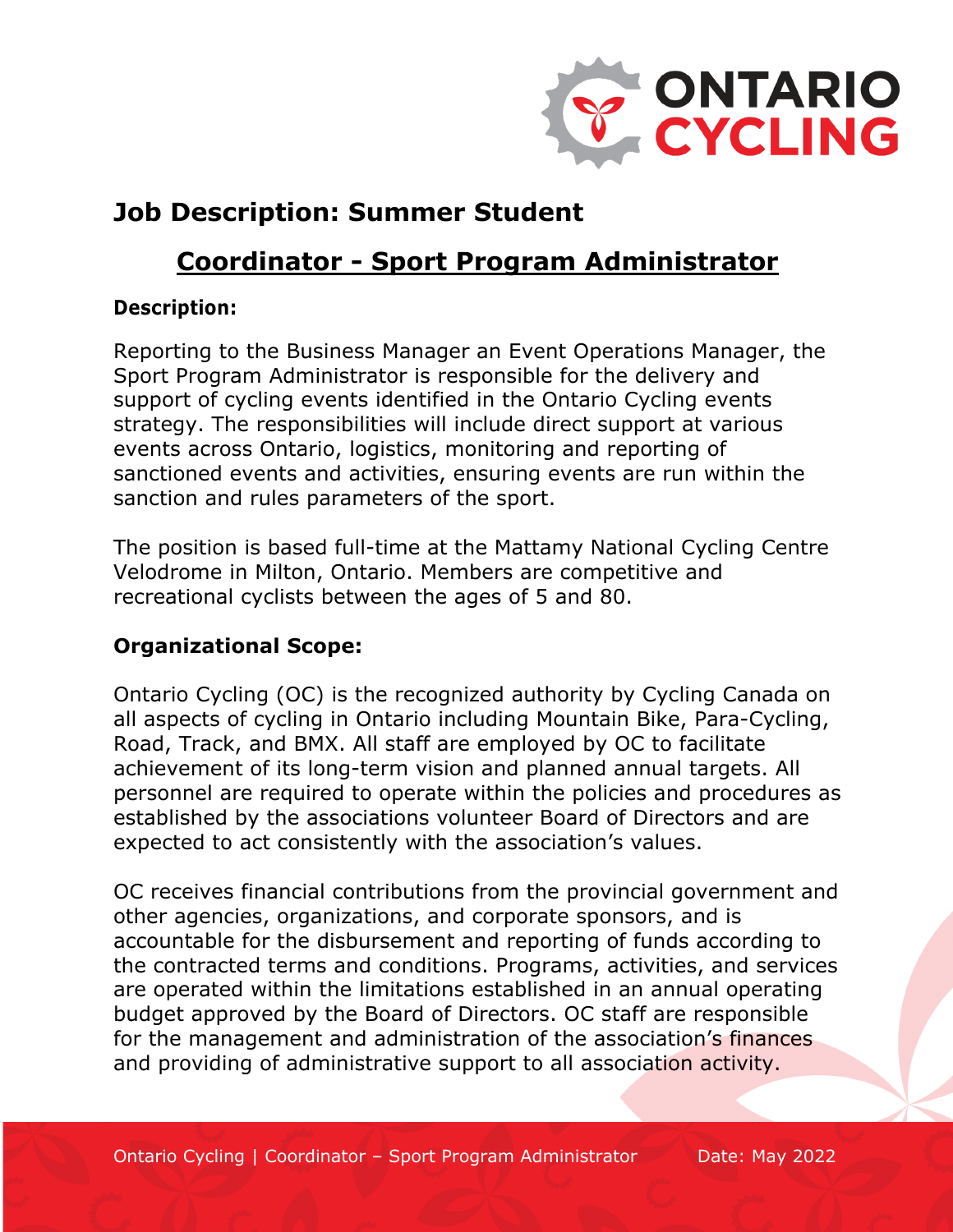

# **Job Description: Summer Student**

# **Coordinator - Sport Program Administrator**

### **Description:**

Reporting to the Business Manager an Event Operations Manager, the Sport Program Administrator is responsible for the delivery and support of cycling events identified in the Ontario Cycling events strategy. The responsibilities will include direct support at various events across Ontario, logistics, monitoring and reporting of sanctioned events and activities, ensuring events are run within the sanction and rules parameters of the sport.

The position is based full-time at the Mattamy National Cycling Centre Velodrome in Milton, Ontario. Members are competitive and recreational cyclists between the ages of 5 and 80.

### **Organizational Scope:**

Ontario Cycling (OC) is the recognized authority by Cycling Canada on all aspects of cycling in Ontario including Mountain Bike, Para-Cycling, Road, Track, and BMX. All staff are employed by OC to facilitate achievement of its long-term vision and planned annual targets. All personnel are required to operate within the policies and procedures as established by the associations volunteer Board of Directors and are expected to act consistently with the association's values.

OC receives financial contributions from the provincial government and other agencies, organizations, and corporate sponsors, and is accountable for the disbursement and reporting of funds according to the contracted terms and conditions. Programs, activities, and services are operated within the limitations established in an annual operating budget approved by the Board of Directors. OC staff are responsible for the management and administration of the association's finances and providing of administrative support to all association activity.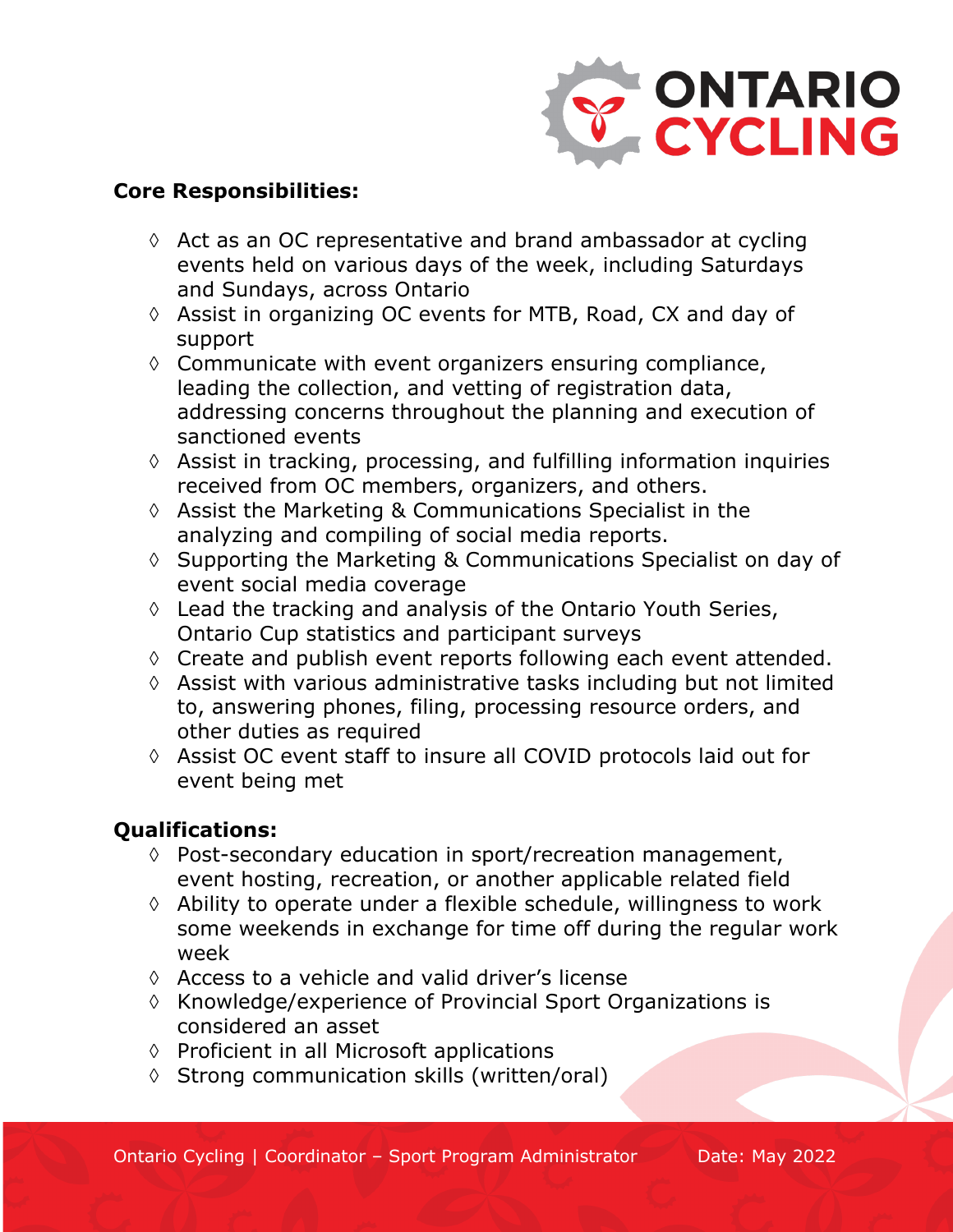

#### **Core Responsibilities:**

- $\Diamond$  Act as an OC representative and brand ambassador at cycling events held on various days of the week, including Saturdays and Sundays, across Ontario
- à Assist in organizing OC events for MTB, Road, CX and day of support
- $\Diamond$  Communicate with event organizers ensuring compliance, leading the collection, and vetting of registration data, addressing concerns throughout the planning and execution of sanctioned events
- $\Diamond$  Assist in tracking, processing, and fulfilling information inquiries received from OC members, organizers, and others.
- $\Diamond$  Assist the Marketing & Communications Specialist in the analyzing and compiling of social media reports.
- à Supporting the Marketing & Communications Specialist on day of event social media coverage
- $\Diamond$  Lead the tracking and analysis of the Ontario Youth Series, Ontario Cup statistics and participant surveys
- à Create and publish event reports following each event attended.
- $\Diamond$  Assist with various administrative tasks including but not limited to, answering phones, filing, processing resource orders, and other duties as required
- à Assist OC event staff to insure all COVID protocols laid out for event being met

#### **Qualifications:**

- $\Diamond$  Post-secondary education in sport/recreation management, event hosting, recreation, or another applicable related field
- $\Diamond$  Ability to operate under a flexible schedule, willingness to work some weekends in exchange for time off during the regular work week
- $\Diamond$  Access to a vehicle and valid driver's license
- à Knowledge/experience of Provincial Sport Organizations is considered an asset
- à Proficient in all Microsoft applications
- à Strong communication skills (written/oral)